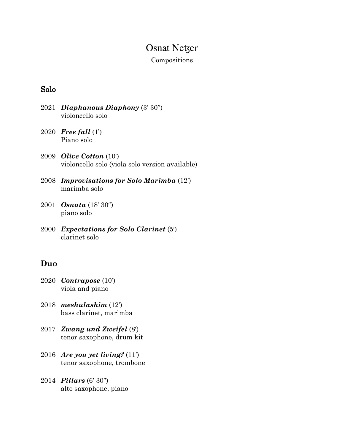# **Osnat Netzer**

#### Compositions

### Solo

- 2021 *Diaphanous Diaphony* (3' 30'') violoncello solo
- 2020 *Free fall* (1') Piano solo
- 2009 *Olive Cotton* (10′) violoncello solo (viola solo version available)
- 2008 *Improvisations for Solo Marimba* (12′) marimba solo
- 2001 *Osnata* (18′ 30″) piano solo
- 2000 *Expectations for Solo Clarinet* (5′) clarinet solo

### **Duo**

- 2020 *Contrapose* (10') viola and piano
- 2018 *meshulashim* (12′) bass clarinet, marimba
- 2017 *Zwang und Zweifel* (8′) tenor saxophone, drum kit
- 2016 *Are you yet living?* (11′) tenor saxophone, trombone
- 2014 *Pillars* (6′ 30″) alto saxophone, piano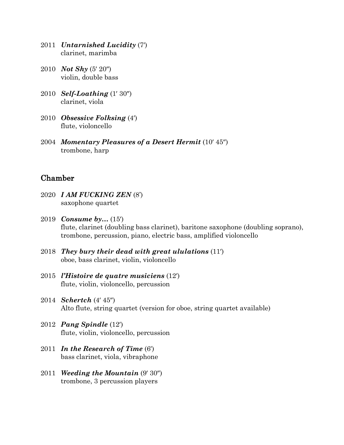- 2011 *Untarnished Lucidity* (7′) clarinet, marimba
- 2010 *Not Shy* (5′ 20″) violin, double bass
- 2010 *Self-Loathing* (1′ 30″) clarinet, viola
- 2010 *Obsessive Folksing* (4′) flute, violoncello
- 2004 *Momentary Pleasures of a Desert Hermit* (10′ 45″) trombone, harp

### Chamber

- 2020 *I AM FUCKING ZEN* (8') saxophone quartet
- 2019 *Consume by…* (15′) flute, clarinet (doubling bass clarinet), baritone saxophone (doubling soprano), trombone, percussion, piano, electric bass, amplified violoncello
- 2018 *They bury their dead with great ululations* (11′) oboe, bass clarinet, violin, violoncello
- 2015 *l'Histoire de quatre musiciens* (12′) flute, violin, violoncello, percussion
- 2014 *Schertch* (4′ 45″) Alto flute, string quartet (version for oboe, string quartet available)
- 2012 *Pang Spindle* (12′) flute, violin, violoncello, percussion
- 2011 *In the Research of Time* (6′) bass clarinet, viola, vibraphone
- 2011 *Weeding the Mountain* (9′ 30″) trombone, 3 percussion players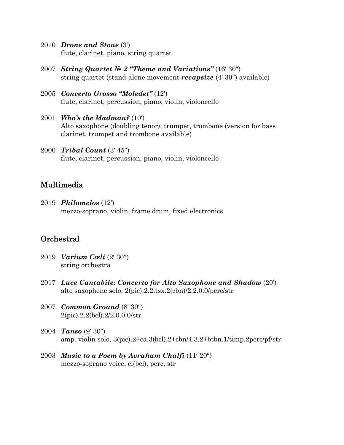- 2010 *Drone and Stone* (3′) flute, clarinet, piano, string quartet
- 2007 *String Quartet № 2 "Theme and Variations"* (16′ 30″) string quartet (stand-alone movement *recapsize* (4' 30'') available)
- 2005 *Concerto Grosso "Moledet"* (12′) flute, clarinet, percussion, piano, violin, violoncello
- 2001 *Who's the Madman?* (10′) Alto saxophone (doubling tenor), trumpet, trombone (version for bass clarinet, trumpet and trombone available)
- 2000 *Tribal Count* (3′ 45″) flute, clarinet, percussion, piano, violin, violoncello

### Multimedia

2019 *Philomelos* (12′) mezzo-soprano, violin, frame drum, fixed electronics

## **Orchestral**

- 2019 *Varium Cæli* (2′ 30′′) string orchestra
- 2017 *Luce Cantabile: Concerto for Alto Saxophone and Shadow* (20′) alto saxophone solo, 2(pic).2.2.tsx.2(cbn)/2.2.0.0/perc/str
- 2007 *Common Ground* (8′ 30″) 2(pic).2.2(bcl).2/2.0.0.0/str
- 2004 *Tanso* (9′ 30″) amp. violin solo, 3(pic).2+ca.3(bcl).2+cbn/4.3.2+btbn.1/timp.2perc/pf/str
- 2003 *Music to a Poem by Avraham Chalfi* (11′ 20″) mezzo-soprano voice, cl(bcl), perc, str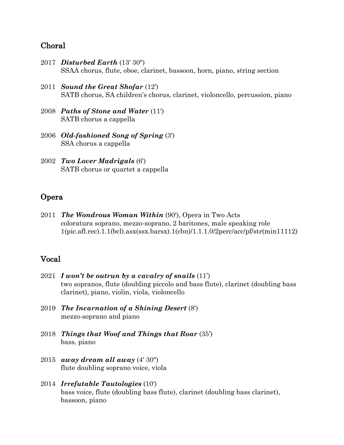### Choral

- 2017 *Disturbed Earth* (13′ 30″) SSAA chorus, flute, oboe, clarinet, bassoon, horn, piano, string section
- 2011 *Sound the Great Shofar* (12′) SATB chorus, SA children's chorus, clarinet, violoncello, percussion, piano
- 2008 *Paths of Stone and Water* (11′) SATB chorus a cappella
- 2006 *Old-fashioned Song of Spring* (3′) SSA chorus a cappella
- 2002 *Two Lover Madrigals* (6′) SATB chorus or quartet a cappella

### Opera

2011 *The Wondrous Woman Within* (90′), Opera in Two Acts coloratura soprano, mezzo-soprano, 2 baritones, male speaking role 1(pic.afl.rec).1.1(bcl).asx(ssx.barsx).1(cbn)/1.1.1.0/2perc/acc/pf/str(min11112)

#### Vocal

- 2021 *I won't be outrun by a cavalry of snails* (11') two sopranos, flute (doubling piccolo and bass flute), clarinet (doubling bass clarinet), piano, violin, viola, violoncello
- 2019 *The Incarnation of a Shining Desert* (8′) mezzo-soprano and piano
- 2018 *Things that Woof and Things that Roar* (35') bass, piano
- 2015 *away dream all away* (4′ 30″) flute doubling soprano voice, viola
- 2014 *Irrefutable Tautologies* (10′) bass voice, flute (doubling bass flute), clarinet (doubling bass clarinet), bassoon, piano